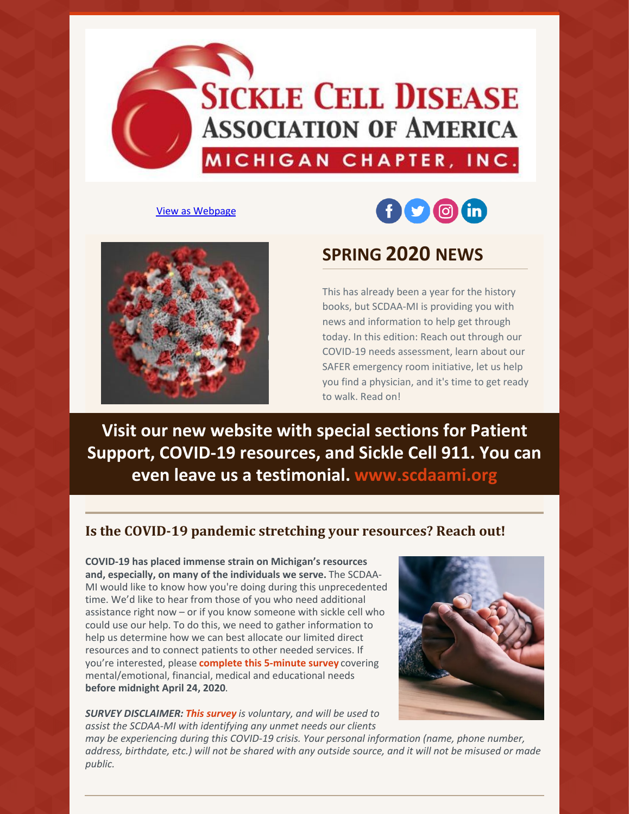

#### View as [Webpage](http://campaign.r20.constantcontact.com/render?ca=d6f3f83c-ac21-441f-94d8-f5ad95b29c20&preview=true&m=1133047724740&id=preview)





# **SPRING 2020 NEWS**

This has already been a year for the history books, but SCDAA-MI is providing you with news and information to help get through today. In this edition: Reach out through our COVID-19 needs assessment, learn about our SAFER emergency room initiative, let us help you find a physician, and it's time to get ready to walk. Read on!

**Visit our new website with special sections for Patient Support, COVID-19 resources, and Sickle Cell 911. You can even leave us a testimonial. [www.scdaami.org](https://www.scdaami.org)**

## **Is the COVID-19 pandemic stretching your resources? Reach out!**

**COVID-19 has placed immense strain on Michigan's resources and, especially, on many of the individuals we serve.** The SCDAA-MI would like to know how you're doing during this unprecedented time. We'd like to hear from those of you who need additional assistance right now – or if you know someone with sickle cell who could use our help. To do this, we need to gather information to help us determine how we can best allocate our limited direct resources and to connect patients to other needed services. If you're interested, please **[complete](https://www.surveymonkey.com/r/GJPWH8Y) this 5-minute survey** covering mental/emotional, financial, medical and educational needs **before midnight April 24, 2020**.

*SURVEY DISCLAIMER: This [survey](https://www.surveymonkey.com/r/GJPWH8Y) is voluntary, and will be used to assist the SCDAA-MI with identifying any unmet needs our clients*

*public.*

*may be experiencing during this COVID-19 crisis. Your personal information (name, phone number,* address, birthdate, etc.) will not be shared with any outside source, and it will not be misused or made

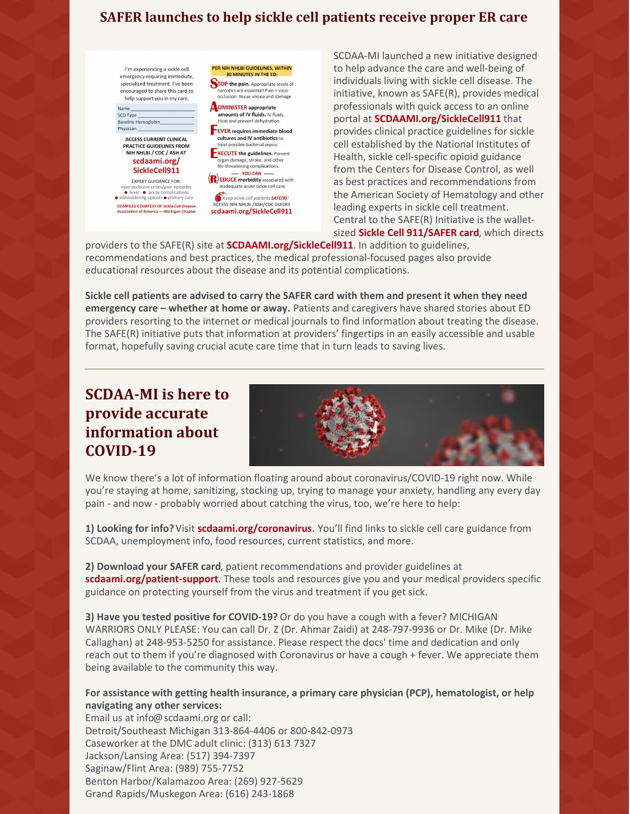# **SAFER launches to help sickle cell patients receive proper ER care**

I'm experiencing a sickle cell emergency requiring immediate, specialized treatment. I've been encouraged to share this card to help support you in my care.

SCD Type Baseline Hemoglobin\_ Physician **ACCESS CURRENT CLINICAL** PRACTICE GUIDELINES FROM NIH NHLBI / CDC / ASH AT

scdaami.org/ SickleCell911 **EXPERT GUIDANCE FOR:** 

vaso-occlusive crises/pain episodes<br>
• fever • acute complications<br>
• administering opioids • primary care **COMPILED COURTESY OF Sickle Cell Disease**<br>Association of America — Michigan Chapter

**STOP the pain.** Appropriate levels of narcotics are essential! Pain = vasoocclusion: tissue anoxia and damage **ADMINISTER** appropriate amounts of IV fluids. IV fluids treat and prevent dehydration **EVER** requires immediate blood cultures and IV antibiotics to treat possible bacterial sepsis. **EXECUTE the guidelines.** Prevent organ damage, stroke, and other<br>life-threatening complications. - YOU CAN<br>
EDUCE morbidity associated with inadequate acute sickle cell care

PER NIH NHLBI GUIDELINES, WITHIN<br>30 MINUTES IN THE ED:

Keep sickle cell patients SAFE(R)!<br>ACCESS NIH NHLBI /ASH/CDC GUIDES scdaami.org/SickleCell911 SCDAA-MI launched a new initiative designed to help advance the care and well-being of individuals living with sickle cell disease. The initiative, known as SAFE(R), provides medical professionals with quick access to an online portal at **[SCDAAMI.org/SickleCell911](https://www.scdaami.org/sicklecell911)** that provides clinical practice guidelines for sickle cell established by the National Institutes of Health, sickle cell-specific opioid guidance from the Centers for Disease Control, as well as best practices and recommendations from the American Society of Hematology and other leading experts in sickle cell treatment. Central to the SAFE(R) Initiative is the walletsized **Sickle Cell [911/SAFER](https://4b575d6d-3ae2-44d4-b990-70b6e3349862.filesusr.com/ugd/44fa13_9244a695aefe4fe4948401cfe6134a9a.pdf) card**, which directs

providers to the SAFE(R) site at **[SCDAAMI.org/SickleCell911](https://www.scdaami.org/sicklecell911)**. In addition to guidelines, recommendations and best practices, the medical professional-focused pages also provide educational resources about the disease and its potential complications.

**Sickle cell patients are advised to carry the SAFER card with them and present it when they need emergency care – whether at home or away.** Patients and caregivers have shared stories about ED providers resorting to the internet or medical journals to find information about treating the disease. The SAFE(R) initiative puts that information at providers' fingertips in an easily accessible and usable format, hopefully saving crucial acute care time that in turn leads to saving lives.

# **SCDAA-MI is here to provide accurate information about COVID-19**



We know there's a lot of information floating around about coronavirus/COVID-19 right now. While you're staying at home, sanitizing, stocking up, trying to manage your anxiety, handling any every day pain - and now - probably worried about catching the virus, too, we're here to help:

**1) Looking for info?**Visit **[scdaami.org/coronavirus](https://l.facebook.com/l.php?u=http%3A%2F%2Fscdaami.org%2Fcoronavirus%3Ffbclid%3DIwAR3UpKB9XArZ0CeRCL_F2yQT6ZQau_lPx46M1cbVE4aepWdzdsEv7j0WGRQ&h=AT0TSZCoCUHaRtFK3ZWxpOeas12gmuXcT9pn8YRll5woUjhzytrsyf4wd6s94iprbhtk_0Ny6BJGn6fncUDQoixfu9T6ijhBFZg4ZpqVCMZ68eRV8OJhCqulFjAyEPXUyLCAQgn6APG9a-aBOgzdibeDYKVsGXTEv8Zg-Cb34Xi_02QKyZvVW29y4OtnsrqImmJA3V_BpSRwvj3ROKez_fywtTkF7P0zKEgcgEOqjd6cqP4Bv2rdHUAB92ni11sGmVEj1hR04ETQVEzJsP9CynpGbRRkits63ngrDUF-XjxyGKvwA0hf61s2-pYL-6UIae9fniBdHjH1oxPRqq-F3_OBfhAMnaCcMGEyN6lFj7rlgRTiqStB-ZVCuLEH3l4C91fGcxgoI-grhQgd-LW3mQbGGo2Aytki0QUE0x89tuaVjdHhEvdo70NcO5vGpOLOaHnbtj7GBLmN5XWr-kPRG2dW3zfM2I4eeK-5qAzZdbjIIPNP5wErYQ4rSIf2soB-B1vHEbDCknYtC_FAJ1Q2XNXHUO_CIUaqpmFb0RKxki6KJB4u7K5_3GaWeliyQlowtwvGFAw66re4HQRFdeFcHzpJW1EiR6pfURK0tt09Yn97nPIxmsQAMdlzOMj8naXpyN_OfA-_LuOOIVCZ8g6X)**. You'll find links to sickle cell care guidance from SCDAA, unemployment info, food resources, current statistics, and more.

**2) Download your SAFER card**, patient recommendations and provider guidelines at **[scdaami.org/patient-support](http://scdaami.org/patient-support?fbclid=IwAR1639Sal-WN7v9l-v2kPwK0yXNnNm2ZtzokhSgOYUhZYmhjXxnzkjFfuhI)**. These tools and resources give you and your medical providers specific guidance on protecting yourself from the virus and treatment if you get sick.

**3) Have you tested positive for COVID-19?** Or do you have a cough with a fever? MICHIGAN WARRIORS ONLY PLEASE: You can call Dr. Z (Dr. Ahmar Zaidi) at 248-797-9936 or Dr. Mike (Dr. Mike Callaghan) at 248-953-5250 for assistance. Please respect the docs' time and dedication and only reach out to them if you're diagnosed with Coronavirus or have a cough + fever. We appreciate them being available to the community this way.

**For assistance with getting health insurance, a primary care physician (PCP), hematologist, or help navigating any other services:**

Email us at info@scdaami.org or call: Detroit/Southeast Michigan 313-864-4406 or 800-842-0973 Caseworker at the DMC adult clinic: (313) 613 7327 Jackson/Lansing Area: (517) 394-7397 Saginaw/Flint Area: (989) 755-7752 Benton Harbor/Kalamazoo Area: (269) 927-5629 Grand Rapids/Muskegon Area: (616) 243-1868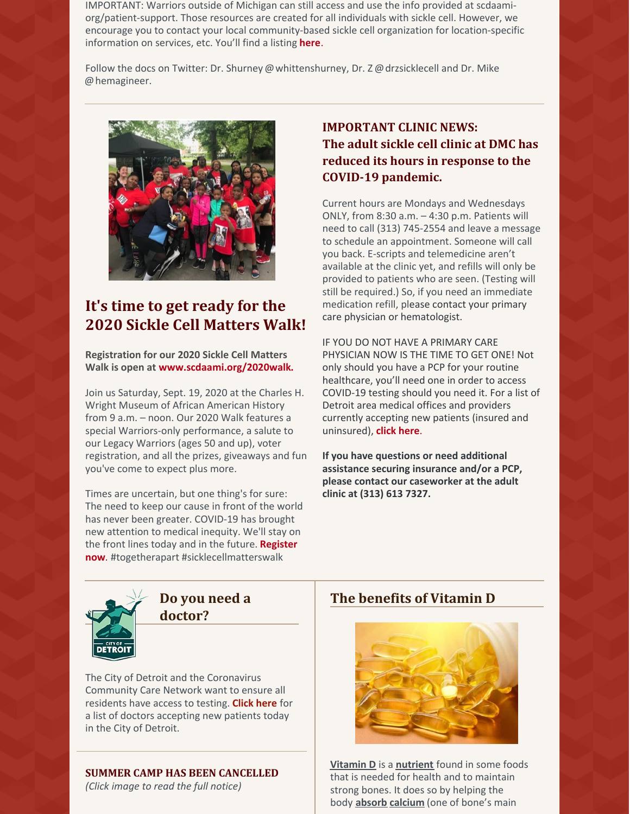IMPORTANT: Warriors outside of Michigan can still access and use the info provided at scdaamiorg/patient-support. Those resources are created for all individuals with sickle cell. However, we encourage you to contact your local community-based sickle cell organization for location-specific information on services, etc. You'll find a listing **[here](https://www.sicklecelldisease.org/support-and-community/find-member-organizations/)**.

Follow the docs on Twitter: Dr. Shurney @whittenshurney, Dr. Z @drzsicklecell and Dr. Mike @hemagineer.



# **It's time to get ready for the 2020 Sickle Cell Matters Walk!**

**Registration for our 2020 Sickle Cell Matters Walk is open at [www.scdaami.org/2020walk](https://www.scdaami.org/2020walk).**

Join us Saturday, Sept. 19, 2020 at the Charles H. Wright Museum of African American History from 9 a.m. – noon. Our 2020 Walk features a special Warriors-only performance, a salute to our Legacy Warriors (ages 50 and up), voter registration, and all the prizes, giveaways and fun you've come to expect plus more.

Times are uncertain, but one thing's for sure: The need to keep our cause in front of the world has never been greater. COVID-19 has brought new attention to medical inequity. We'll stay on the front lines today and in the future. **Register now**. #togetherapart [#sicklecellmatterswalk](https://www.scdaami.org/2020walk)

# **IMPORTANT CLINIC NEWS: The adult sickle cell clinic at DMC has reduced its hours in response to the COVID-19 pandemic.**

Current hours are Mondays and Wednesdays ONLY, from 8:30 a.m. – 4:30 p.m. Patients will need to call (313) 745-2554 and leave a message to schedule an appointment. Someone will call you back. E-scripts and telemedicine aren't available at the clinic yet, and refills will only be provided to patients who are seen. (Testing will still be required.) So, if you need an immediate medication refill, please contact your primary care physician or hematologist.

IF YOU DO NOT HAVE A PRIMARY CARE PHYSICIAN NOW IS THE TIME TO GET ONE! Not only should you have a PCP for your routine healthcare, you'll need one in order to access COVID-19 testing should you need it. For a list of Detroit area medical offices and providers currently accepting new patients (insured and uninsured), **click [here](https://detroitmi.gov/departments/detroit-health-department/programs-and-services/communicable-disease/coronavirus-covid-19/dont-have-doctor?fbclid=IwAR2bcr1F5LyZFbuU9UkqU-hHARF4UKXsvlc7aQohipIei0-Qep3rBfzYS94)**.

**If you have questions or need additional assistance securing insurance and/or a PCP, please contact our caseworker at the adult clinic at (313) 613 7327.**



**Do you need a doctor?**

The City of Detroit and the Coronavirus Community Care Network want to ensure all residents have access to testing. **[Click](https://detroitmi.gov/departments/detroit-health-department/programs-and-services/communicable-disease/coronavirus-covid-19/dont-have-doctor?fbclid=IwAR0gRvqBLcGnA8YEDFyPb8VvXhlLYSR80Qe5ANFHH0qLTiO_F_PBWDJhOdw) here** for a list of doctors accepting new patients today in the City of Detroit.

### **SUMMER CAMP HAS BEEN CANCELLED**

*(Click image to read the full notice)*

## **The benefits of Vitamin D**



**[Vitamin](https://ods.od.nih.gov/factsheets/VitaminD-Consumer/#) D** is a **[nutrient](https://ods.od.nih.gov/factsheets/VitaminD-Consumer/#)** found in some foods that is needed for health and to maintain strong bones. It does so by helping the body **[absorb](https://ods.od.nih.gov/factsheets/VitaminD-Consumer/#) [calcium](https://ods.od.nih.gov/factsheets/Calcium-Consumer/)** (one of bone's main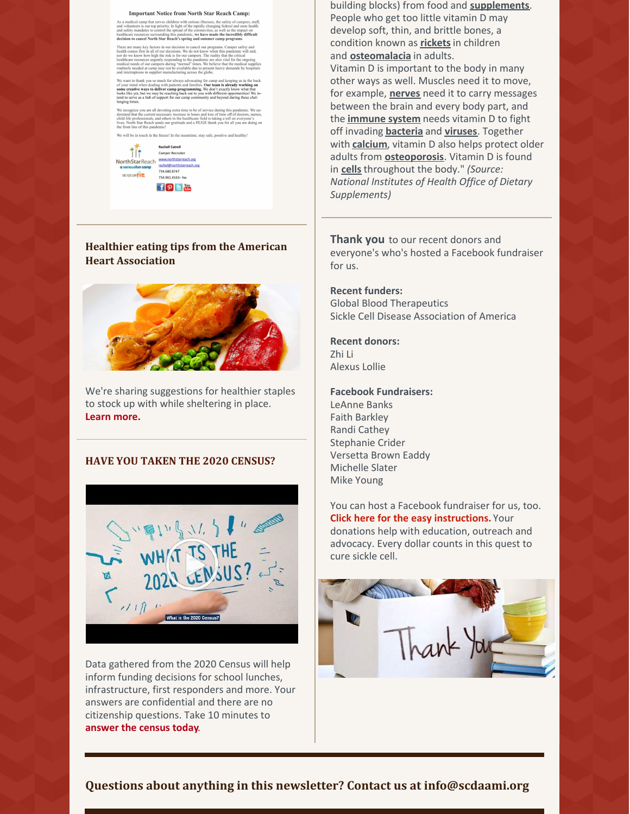

### **Healthier eating tips from the American Heart Association**



We're sharing suggestions for healthier staples to stock up with while sheltering in place. **Learn [more.](https://www.heart.org/en/healthy-living/healthy-eating/cooking-skills/meal-planning/staple-ingredients-for-quick-healthy-meals?fbclid=IwAR02Cd6TUBuk0XQ5jDa8oJkBeOzNy-GDQMQACO7Shj_FyqwKvbAm8Ydruew)**

#### **HAVE YOU TAKEN THE 2020 CENSUS?**



Data gathered from the 2020 Census will help inform funding decisions for school lunches, infrastructure, first responders and more. Your answers are confidential and there are no citizenship questions. Take 10 minutes to **[answer](https://2020census.gov/en/about-questions.html?cid=20009:%2Bcensus %2Bquestions:sem.ga:p:dm:en:&utm_source=sem.ga&utm_medium=p&utm_campaign=dm:en&utm_content=20009&utm_term=%2Bcensus %2Bquestions) the census today**.

building blocks) from food and **[supplements](https://ods.od.nih.gov/factsheets/VitaminD-Consumer/#)**. People who get too little vitamin D may develop soft, thin, and brittle bones, a condition known as **[rickets](https://ods.od.nih.gov/factsheets/VitaminD-Consumer/#)**in children and **[osteomalacia](https://ods.od.nih.gov/factsheets/VitaminD-Consumer/#)** in adults. Vitamin D is important to the body in many other ways as well. Muscles need it to move, for example, **[nerves](https://ods.od.nih.gov/factsheets/VitaminD-Consumer/#)** need it to carry messages between the brain and every body part, and the **[immune](https://ods.od.nih.gov/factsheets/VitaminD-Consumer/#) system** needs vitamin D to fight off invading **[bacteria](https://ods.od.nih.gov/factsheets/VitaminD-Consumer/#)** and **[viruses](https://ods.od.nih.gov/factsheets/VitaminD-Consumer/#)**. Together with **[calcium](https://ods.od.nih.gov/factsheets/VitaminD-Consumer/#)**, vitamin D also helps protect older adults from **[osteoporosis](https://ods.od.nih.gov/factsheets/VitaminD-Consumer/#)**. Vitamin D is found in **[cells](https://ods.od.nih.gov/factsheets/VitaminD-Consumer/#)** throughout the body." *(Source: National Institutes of Health Office of Dietary Supplements)*

**Thank you** to our recent donors and everyone's who's hosted a Facebook fundraiser for us.

**Recent funders:** Global Blood Therapeutics Sickle Cell Disease Association of America

#### **Recent donors:**

Zhi Li Alexus Lollie

#### **Facebook Fundraisers:**

LeAnne Banks Faith Barkley Randi Cathey Stephanie Crider Versetta Brown Eaddy Michelle Slater Mike Young

You can host a Facebook fundraiser for us, too. **Click here for the easy [instructions.](https://www.facebook.com/fund/sicklecellmichigan/)** Your donations help with education, outreach and advocacy. Every dollar counts in this quest to cure sickle cell.



### **Questions about anything in this newsletter? Contact us at info@scdaami.org**